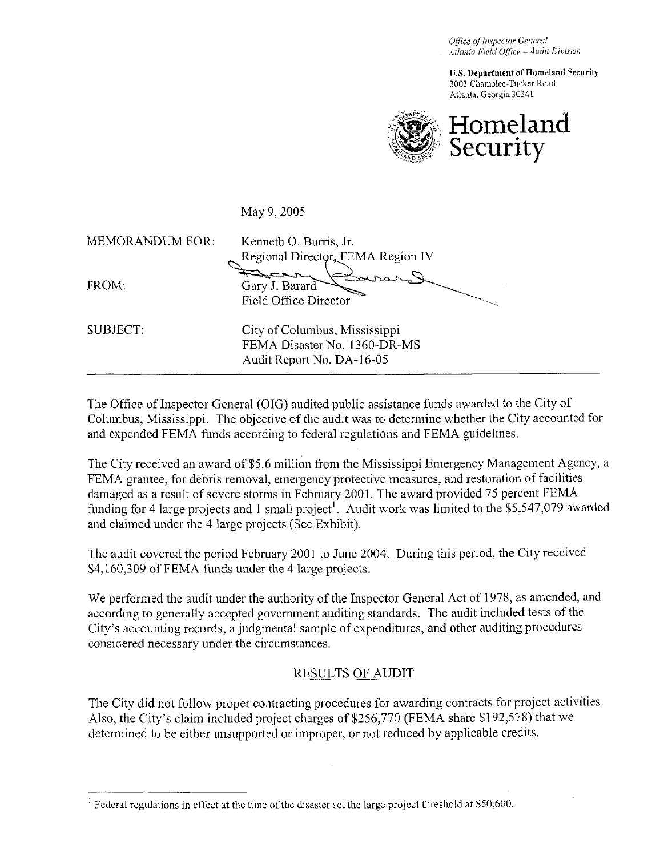*Office of Inspector General Atlnt~tu Field Ofice -Audit Division* 

**Ti.S. Department of Homeland Security**  3003 Chamblee-Tucker Road Atlanta, Georgia 30341



May 9,2005

| <b>MEMORANDUM FOR:</b> | Kenneth O. Burris, Jr.<br>Regional Director, FEMA Region IV                                |
|------------------------|--------------------------------------------------------------------------------------------|
| FROM:                  | $\sum_{\alpha}$<br>Gary J. Barard<br>Field Office Director                                 |
| SUBJECT:               | City of Columbus, Mississippi<br>FEMA Disaster No. 1360-DR-MS<br>Audit Report No. DA-16-05 |

The Office of Inspector General (OIG) audited public assistance funds awarded to the City of Columbus, Mississippi. The objective of the audit was to determine whether the City accounted for and expended FEMA funds according to federal regulations and FEMA guidelines.

The City received an award of \$5.6 million from the Mississippi Emergency Management Agency, a FEMA grantee, for debris removal, emergency protective measures, and restoration of facilities damaged as a result of severe storms in February 2001. The award provided 75 percent FEMA funding for 4 large projects and 1 small project<sup>1</sup>. Audit work was limited to the \$5,547,079 awarded and claimed under the 4 large projects (See Exhibit).

The audit covered the period February 2001 to June 2004. During this period, the City received \$4,160,309 of FEMA funds under the 4 large projects.

We performed the audit under the authority of the Inspector General Act of 1978, as amended, and according to generally accepted government auditing standards. The audit included tests of the City's accounting records, a judgmental sample of expenditures, and other auditing procedures considered necessary under the circumstances.

## RESULTS OF AUDIT

The City did not follow proper contracting procedures for awarding contracts for project activities. Also, the City's claim included project charges of \$256,770 (FEMA share \$192,578) that we determined to be either unsupported or improper, or not reduced by applicable credits.

<sup>&</sup>lt;sup>1</sup> Federal regulations in effect at the time of the disaster set the large project threshold at \$50,600.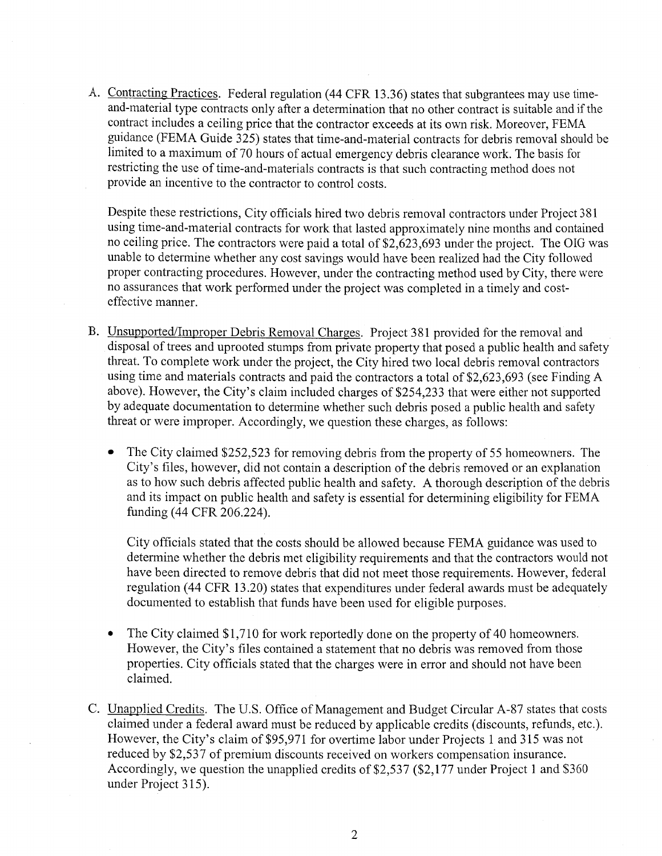A. Contracting Practices. Federal regulation (44 CFR 13.36) states that subgrantees may use timeand-material type contracts only after a determination that no other contract is suitable and if the contract includes a ceiling price that the contractor exceeds at its own risk. Moreover, FEMA guidance (FEMA Guide 325) states that time-and-material contracts for debris removal should be limited to a maximum of 70 hours of actual emergency debris clearance work. The basis for restricting the use of time-and-materials contracts is that such contracting method does not provide an incentive to the contractor to control costs.

Despite these restrictions, City officials hired two debris removal contractors under Project 381 using time-and-material contracts for work that lasted approximately nine months and contained no ceiling price. The contractors were paid a total of \$2,623,693 under the project. The OIG was unable to determine whether any cost savings would have been realized had the City followed proper contracting procedures. However, under the contracting method used by City, there were no assurances that work performed under the project was completed in a timely and costeffective manner.

- B. Unsupported/Improper Debris Removal Charges. Project 381 provided for the removal and disposal of trees and uprooted stumps from private property that posed a public health and safety threat. To complete work under the project, the City hired two local debris removal contractors using time and materials contracts and paid the contractors a total of \$2,623,693 (see Finding A above). However, the City's claim included charges of \$254,233 that were either not supported by adequate documentation to determine whether such debris posed a public health and safety threat or were improper. Accordingly, we question these charges, as follows:
	- The City claimed \$252,523 for removing debris from the property of 55 homeowners. The City's files, however, did not contain a description of the debris removed or an explanation as to how such debris affected public health and safety. A thorough description of the debris and its impact on public health and safety is essential for determining eligibility for FEMA funding (44 CFR 206.224).

City officials stated that the costs should be allowed because FEMA guidance was used to determine whether the debris met eligibility requirements and that the contractors would not have been directed to remove debris that did not meet those requirements. However, federal regulation (44 CFR 13.20) states that expenditures under federal awards must be adequately documented to establish that funds have been used for eligible purposes.

- The City claimed \$1,7 10 for work reportedly done on the property of 40 homeowners. However, the City's files contained a statement that no debris was removed from those properties. City officials stated that the charges were in error and should not have been claimed.
- C. Unapplied Credits. The U.S. Office of Management and Budget Circular A-87 states that costs claimed under a federal award must be reduced by applicable credits (discounts, refunds, etc.). However, the City's claim of \$95,971 for overtime labor under Projects 1 and 315 was not reduced by \$2,537 of premium discounts received on workers compensation insurance. Accordingly, we question the unapplied credits of \$2,537 (\$2,177 under Project 1 and \$360 under Project 315).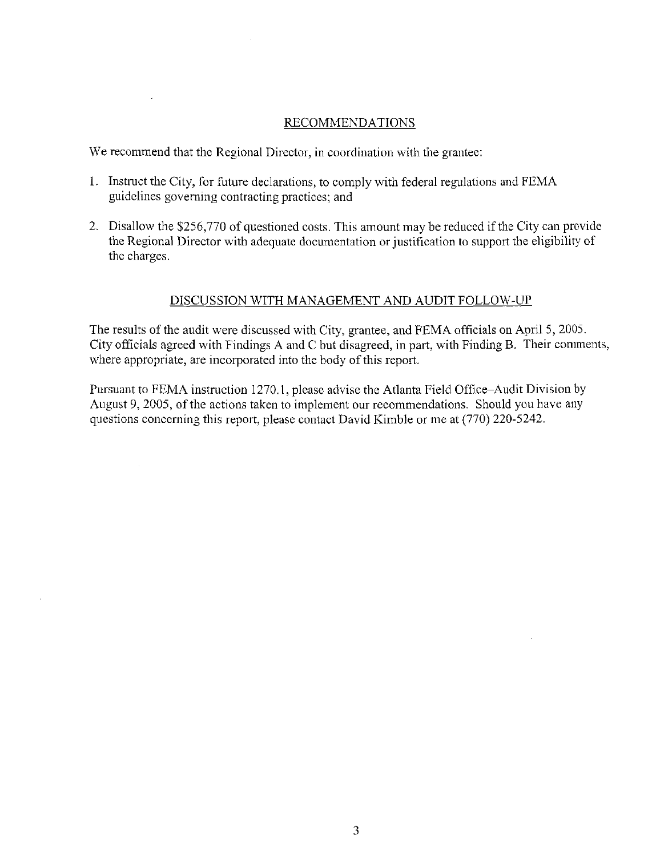#### RECOMMENDATIONS

We recommend that the Regional Director, in coordination with the grantee:

- 1. Instruct the City, for future declarations, to comply with federal regulations and FEMA guidelines governing contracting practices; and
- 2. Disallow the \$256,770 of questioned costs. This amount may be reduced if the City can provide the Regional Director with adequate documentation or justification to support the eligibility of the charges.

#### DISCUSSION WITH MANAGEMENT AND AUDIT FOLLOW-UP

The results of the audit were discussed with City, grantee, and FEMA officials on April 5,2005. City officials agreed with Findings A and C but disagreed, in part, with Finding B. Their comments, where appropriate, are incorporated into the body of this report.

Pursuant to FEMA instruction 1270.1, please advise the Atlanta Field Office-Audit Division by August 9, 2005, of the actions taken to implement our recommendations. Should you have any questions concerning this report, please contact David Kimble or me at (770) 220-5242.